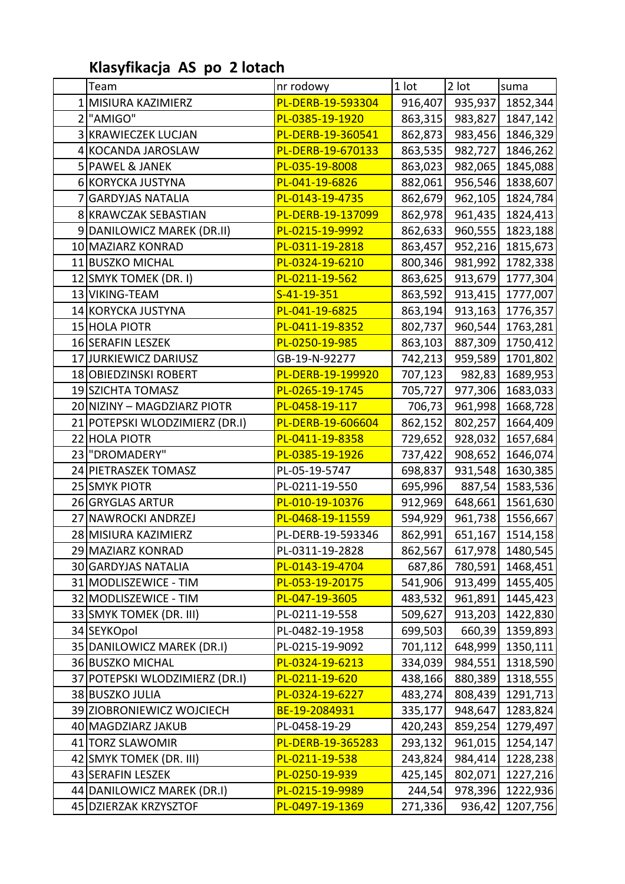## **Klasyfikacja AS po 2 lotach**

| Team                           | nr rodowy           | 1 lot   | $2$ lot | suma                     |
|--------------------------------|---------------------|---------|---------|--------------------------|
| 1 MISIURA KAZIMIERZ            | PL-DERB-19-593304   | 916,407 | 935,937 | 1852,344                 |
| 2 <sup>"</sup> AMIGO"          | PL-0385-19-1920     | 863,315 | 983,827 | 1847,142                 |
| 3 KRAWIECZEK LUCJAN            | PL-DERB-19-360541   | 862,873 | 983,456 | 1846,329                 |
| 4 KOCANDA JAROSLAW             | PL-DERB-19-670133   | 863,535 | 982,727 | 1846,262                 |
| 5 PAWEL & JANEK                | PL-035-19-8008      | 863,023 | 982,065 | 1845,088                 |
| 6 KORYCKA JUSTYNA              | PL-041-19-6826      | 882,061 | 956,546 | 1838,607                 |
| 7 GARDYJAS NATALIA             | PL-0143-19-4735     | 862,679 | 962,105 | 1824,784                 |
| 8 KRAWCZAK SEBASTIAN           | PL-DERB-19-137099   | 862,978 | 961,435 | 1824,413                 |
| 9 DANILOWICZ MAREK (DR.II)     | PL-0215-19-9992     | 862,633 | 960,555 | 1823,188                 |
| 10 MAZIARZ KONRAD              | PL-0311-19-2818     | 863,457 | 952,216 | 1815,673                 |
| 11 BUSZKO MICHAL               | PL-0324-19-6210     | 800,346 | 981,992 | 1782,338                 |
| 12 SMYK TOMEK (DR. I)          | PL-0211-19-562      | 863,625 | 913,679 | 1777,304                 |
| 13 VIKING-TEAM                 | $S - 41 - 19 - 351$ | 863,592 | 913,415 | 1777,007                 |
| 14 KORYCKA JUSTYNA             | PL-041-19-6825      | 863,194 | 913,163 | 1776,357                 |
| 15 HOLA PIOTR                  | PL-0411-19-8352     | 802,737 | 960,544 | 1763,281                 |
| 16 SERAFIN LESZEK              | PL-0250-19-985      | 863,103 | 887,309 | 1750,412                 |
| 17JJURKIEWICZ DARIUSZ          | GB-19-N-92277       | 742,213 | 959,589 | 1701,802                 |
| 18 OBIEDZINSKI ROBERT          | PL-DERB-19-199920   | 707,123 | 982,83  | 1689,953                 |
| 19 SZICHTA TOMASZ              | PL-0265-19-1745     | 705,727 | 977,306 | 1683,033                 |
| 20 NIZINY - MAGDZIARZ PIOTR    | PL-0458-19-117      | 706,73  | 961,998 | 1668,728                 |
| 21 POTEPSKI WLODZIMIERZ (DR.I) | PL-DERB-19-606604   | 862,152 | 802,257 | 1664,409                 |
| 22 HOLA PIOTR                  | PL-0411-19-8358     | 729,652 | 928,032 | 1657,684                 |
| 23 DROMADERY"                  | PL-0385-19-1926     | 737,422 | 908,652 | 1646,074                 |
| 24 PIETRASZEK TOMASZ           | PL-05-19-5747       | 698,837 | 931,548 | 1630,385                 |
| 25 SMYK PIOTR                  | PL-0211-19-550      | 695,996 | 887,54  | 1583,536                 |
| 26 GRYGLAS ARTUR               | PL-010-19-10376     | 912,969 | 648,661 | 1561,630                 |
| 27 NAWROCKI ANDRZEJ            | PL-0468-19-11559    | 594,929 | 961,738 | 1556,667                 |
| 28 MISIURA KAZIMIERZ           | PL-DERB-19-593346   | 862,991 | 651,167 | 1514,158                 |
| 29 MAZIARZ KONRAD              | PL-0311-19-2828     |         |         | 862,567 617,978 1480,545 |
| 30 GARDYJAS NATALIA            | PL-0143-19-4704     | 687,86  | 780,591 | 1468,451                 |
| 31 MODLISZEWICE - TIM          | PL-053-19-20175     | 541,906 | 913,499 | 1455,405                 |
| 32 MODLISZEWICE - TIM          | PL-047-19-3605      | 483,532 | 961,891 | 1445,423                 |
| 33 SMYK TOMEK (DR. III)        | PL-0211-19-558      | 509,627 | 913,203 | 1422,830                 |
| 34 SEYKOpol                    | PL-0482-19-1958     | 699,503 | 660,39  | 1359,893                 |
| 35 DANILOWICZ MAREK (DR.I)     | PL-0215-19-9092     | 701,112 | 648,999 | 1350,111                 |
| 36 BUSZKO MICHAL               | PL-0324-19-6213     | 334,039 | 984,551 | 1318,590                 |
| 37 POTEPSKI WLODZIMIERZ (DR.I) | PL-0211-19-620      | 438,166 | 880,389 | 1318,555                 |
| 38 BUSZKO JULIA                | PL-0324-19-6227     | 483,274 | 808,439 | 1291,713                 |
| 39 ZIOBRONIEWICZ WOJCIECH      | BE-19-2084931       | 335,177 | 948,647 | 1283,824                 |
| 40 MAGDZIARZ JAKUB             | PL-0458-19-29       | 420,243 | 859,254 | 1279,497                 |
| 41 TORZ SLAWOMIR               | PL-DERB-19-365283   | 293,132 | 961,015 | 1254,147                 |
| 42 SMYK TOMEK (DR. III)        | PL-0211-19-538      | 243,824 | 984,414 | 1228,238                 |
| 43 SERAFIN LESZEK              | PL-0250-19-939      | 425,145 | 802,071 | 1227,216                 |
| 44 DANILOWICZ MAREK (DR.I)     | PL-0215-19-9989     | 244,54  | 978,396 | 1222,936                 |
| 45 DZIERZAK KRZYSZTOF          | PL-0497-19-1369     | 271,336 | 936,42  | 1207,756                 |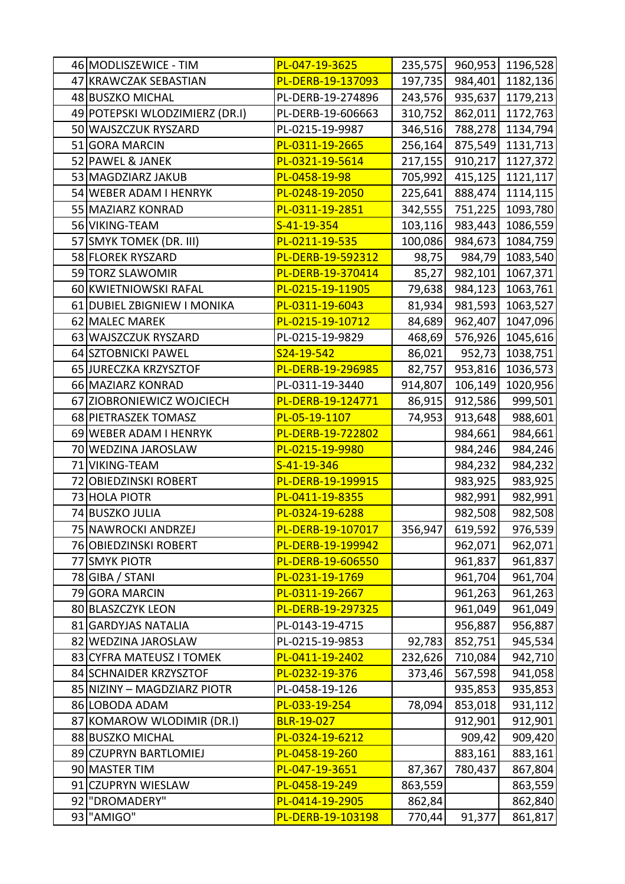| 47 KRAWCZAK SEBASTIAN<br>PL-DERB-19-137093<br>197,735<br>984,401<br>1182,136<br>935,637<br>1179,213<br>48 BUSZKO MICHAL<br>PL-DERB-19-274896<br>243,576<br>310,752<br>862,011<br>1172,763<br>49 POTEPSKI WLODZIMIERZ (DR.I)<br>PL-DERB-19-606663<br>50 WAJSZCZUK RYSZARD<br>PL-0215-19-9987<br>788,278<br>346,516<br>1134,794<br>1131,713<br>51 GORA MARCIN<br>PL-0311-19-2665<br>256,164<br>875,549<br>52 PAWEL & JANEK<br>PL-0321-19-5614<br>217,155<br>910,217<br>1127,372<br>PL-0458-19-98<br>705,992<br>415,125<br>53 MAGDZIARZ JAKUB<br>1121,117<br>PL-0248-19-2050<br>225,641<br>888,474<br>54 WEBER ADAM I HENRYK<br>1114,115<br>55 MAZIARZ KONRAD<br>PL-0311-19-2851<br>342,555<br>751,225<br>1093,780<br>56 VIKING-TEAM<br>103,116<br>$S-41-19-354$<br>983,443<br>1086,559<br>100,086<br>57 SMYK TOMEK (DR. III)<br>PL-0211-19-535<br>984,673<br>1084,759<br>58 FLOREK RYSZARD<br>1083,540<br>PL-DERB-19-592312<br>98,75<br>984,79<br>59 TORZ SLAWOMIR<br>PL-DERB-19-370414<br>85,27<br>982,101<br>1067,371<br>60 KWIETNIOWSKI RAFAL<br>PL-0215-19-11905<br>79,638<br>984,123<br>1063,761<br>61 DUBIEL ZBIGNIEW I MONIKA<br>PL-0311-19-6043<br>81,934<br>981,593<br>1063,527<br>962,407<br>1047,096<br>62 MALEC MAREK<br>PL-0215-19-10712<br>84,689<br>63 WAJSZCZUK RYSZARD<br>PL-0215-19-9829<br>576,926<br>1045,616<br>468,69<br>S24-19-542<br>952,73<br>64 SZTOBNICKI PAWEL<br>86,021<br>1038,751<br>953,816<br>1036,573<br>65 JURECZKA KRZYSZTOF<br>PL-DERB-19-296985<br>82,757<br>1020,956<br>66 MAZIARZ KONRAD<br>PL-0311-19-3440<br>914,807<br>106,149<br>912,586<br>999,501<br>67 ZIOBRONIEWICZ WOJCIECH<br>PL-DERB-19-124771<br>86,915<br>68 PIETRASZEK TOMASZ<br>PL-05-19-1107<br>913,648<br>988,601<br>74,953<br>984,661<br>984,661<br>69 WEBER ADAM I HENRYK<br>PL-DERB-19-722802<br>PL-0215-19-9980<br>984,246<br>984,246<br>70 WEDZINA JAROSLAW<br>71 VIKING-TEAM<br>S-41-19-346<br>984,232<br>72<br><b>OBIEDZINSKI ROBERT</b><br>PL-DERB-19-199915<br>983,925<br>983,925<br>73 HOLA PIOTR<br>PL-0411-19-8355<br>982,991<br>982,991<br>982,508<br>74 BUSZKO JULIA<br>PL-0324-19-6288<br>982,508<br>75 NAWROCKI ANDRZEJ<br>619,592<br>PL-DERB-19-107017<br>356,947<br>76 OBIEDZINSKI ROBERT<br>PL-DERB-19-199942<br>962,071<br>962,071<br>PL-DERB-19-606550<br>961,837<br>961,837<br>77 SMYK PIOTR<br>78 GIBA / STANI<br>PL-0231-19-1769<br>961,704<br>961,704<br>79 GORA MARCIN<br>PL-0311-19-2667<br>961,263<br>961,263<br>961,049<br>80 BLASZCZYK LEON<br>PL-DERB-19-297325<br>961,049<br>956,887<br>81 GARDYJAS NATALIA<br>PL-0143-19-4715<br>956,887<br>82 WEDZINA JAROSLAW<br>852,751<br>945,534<br>PL-0215-19-9853<br>92,783<br>83 CYFRA MATEUSZ I TOMEK<br>710,084<br>PL-0411-19-2402<br>232,626<br>942,710<br>567,598<br>84 SCHNAIDER KRZYSZTOF<br>PL-0232-19-376<br>941,058<br>373,46<br>PL-0458-19-126<br>85 NIZINY - MAGDZIARZ PIOTR<br>935,853<br>935,853<br>PL-033-19-254<br>78,094<br>853,018<br>931,112<br>86 LOBODA ADAM<br>BLR-19-027<br>912,901<br>87 KOMAROW WLODIMIR (DR.I)<br>912,901<br>88 BUSZKO MICHAL<br>PL-0324-19-6212<br>909,42<br>909,420<br>883,161<br>89 CZUPRYN BARTLOMIEJ<br>PL-0458-19-260<br>883,161<br>90 MASTER TIM<br>PL-047-19-3651<br>780,437<br>867,804<br>87,367<br>91 CZUPRYN WIESLAW<br>PL-0458-19-249<br>863,559<br>863,559<br>"DROMADERY"<br>862,84<br>862,840<br>92<br>PL-0414-19-2905<br>93 "AMIGO"<br>770,44<br>91,377<br>861,817<br>PL-DERB-19-103198 | 46 MODLISZEWICE - TIM | PL-047-19-3625 | 235,575 | 960,953 1196,528 |
|---------------------------------------------------------------------------------------------------------------------------------------------------------------------------------------------------------------------------------------------------------------------------------------------------------------------------------------------------------------------------------------------------------------------------------------------------------------------------------------------------------------------------------------------------------------------------------------------------------------------------------------------------------------------------------------------------------------------------------------------------------------------------------------------------------------------------------------------------------------------------------------------------------------------------------------------------------------------------------------------------------------------------------------------------------------------------------------------------------------------------------------------------------------------------------------------------------------------------------------------------------------------------------------------------------------------------------------------------------------------------------------------------------------------------------------------------------------------------------------------------------------------------------------------------------------------------------------------------------------------------------------------------------------------------------------------------------------------------------------------------------------------------------------------------------------------------------------------------------------------------------------------------------------------------------------------------------------------------------------------------------------------------------------------------------------------------------------------------------------------------------------------------------------------------------------------------------------------------------------------------------------------------------------------------------------------------------------------------------------------------------------------------------------------------------------------------------------------------------------------------------------------------------------------------------------------------------------------------------------------------------------------------------------------------------------------------------------------------------------------------------------------------------------------------------------------------------------------------------------------------------------------------------------------------------------------------------------------------------------------------------------------------------------------------------------------------------------------------------------------------------------------------------------------------------------------------------------------------------------------------------------------------------------------------------------------------------------------------------------------------------------------------------------------------------|-----------------------|----------------|---------|------------------|
|                                                                                                                                                                                                                                                                                                                                                                                                                                                                                                                                                                                                                                                                                                                                                                                                                                                                                                                                                                                                                                                                                                                                                                                                                                                                                                                                                                                                                                                                                                                                                                                                                                                                                                                                                                                                                                                                                                                                                                                                                                                                                                                                                                                                                                                                                                                                                                                                                                                                                                                                                                                                                                                                                                                                                                                                                                                                                                                                                                                                                                                                                                                                                                                                                                                                                                                                                                                                                                 |                       |                |         |                  |
| 984,232<br>976,539                                                                                                                                                                                                                                                                                                                                                                                                                                                                                                                                                                                                                                                                                                                                                                                                                                                                                                                                                                                                                                                                                                                                                                                                                                                                                                                                                                                                                                                                                                                                                                                                                                                                                                                                                                                                                                                                                                                                                                                                                                                                                                                                                                                                                                                                                                                                                                                                                                                                                                                                                                                                                                                                                                                                                                                                                                                                                                                                                                                                                                                                                                                                                                                                                                                                                                                                                                                                              |                       |                |         |                  |
|                                                                                                                                                                                                                                                                                                                                                                                                                                                                                                                                                                                                                                                                                                                                                                                                                                                                                                                                                                                                                                                                                                                                                                                                                                                                                                                                                                                                                                                                                                                                                                                                                                                                                                                                                                                                                                                                                                                                                                                                                                                                                                                                                                                                                                                                                                                                                                                                                                                                                                                                                                                                                                                                                                                                                                                                                                                                                                                                                                                                                                                                                                                                                                                                                                                                                                                                                                                                                                 |                       |                |         |                  |
|                                                                                                                                                                                                                                                                                                                                                                                                                                                                                                                                                                                                                                                                                                                                                                                                                                                                                                                                                                                                                                                                                                                                                                                                                                                                                                                                                                                                                                                                                                                                                                                                                                                                                                                                                                                                                                                                                                                                                                                                                                                                                                                                                                                                                                                                                                                                                                                                                                                                                                                                                                                                                                                                                                                                                                                                                                                                                                                                                                                                                                                                                                                                                                                                                                                                                                                                                                                                                                 |                       |                |         |                  |
|                                                                                                                                                                                                                                                                                                                                                                                                                                                                                                                                                                                                                                                                                                                                                                                                                                                                                                                                                                                                                                                                                                                                                                                                                                                                                                                                                                                                                                                                                                                                                                                                                                                                                                                                                                                                                                                                                                                                                                                                                                                                                                                                                                                                                                                                                                                                                                                                                                                                                                                                                                                                                                                                                                                                                                                                                                                                                                                                                                                                                                                                                                                                                                                                                                                                                                                                                                                                                                 |                       |                |         |                  |
|                                                                                                                                                                                                                                                                                                                                                                                                                                                                                                                                                                                                                                                                                                                                                                                                                                                                                                                                                                                                                                                                                                                                                                                                                                                                                                                                                                                                                                                                                                                                                                                                                                                                                                                                                                                                                                                                                                                                                                                                                                                                                                                                                                                                                                                                                                                                                                                                                                                                                                                                                                                                                                                                                                                                                                                                                                                                                                                                                                                                                                                                                                                                                                                                                                                                                                                                                                                                                                 |                       |                |         |                  |
|                                                                                                                                                                                                                                                                                                                                                                                                                                                                                                                                                                                                                                                                                                                                                                                                                                                                                                                                                                                                                                                                                                                                                                                                                                                                                                                                                                                                                                                                                                                                                                                                                                                                                                                                                                                                                                                                                                                                                                                                                                                                                                                                                                                                                                                                                                                                                                                                                                                                                                                                                                                                                                                                                                                                                                                                                                                                                                                                                                                                                                                                                                                                                                                                                                                                                                                                                                                                                                 |                       |                |         |                  |
|                                                                                                                                                                                                                                                                                                                                                                                                                                                                                                                                                                                                                                                                                                                                                                                                                                                                                                                                                                                                                                                                                                                                                                                                                                                                                                                                                                                                                                                                                                                                                                                                                                                                                                                                                                                                                                                                                                                                                                                                                                                                                                                                                                                                                                                                                                                                                                                                                                                                                                                                                                                                                                                                                                                                                                                                                                                                                                                                                                                                                                                                                                                                                                                                                                                                                                                                                                                                                                 |                       |                |         |                  |
|                                                                                                                                                                                                                                                                                                                                                                                                                                                                                                                                                                                                                                                                                                                                                                                                                                                                                                                                                                                                                                                                                                                                                                                                                                                                                                                                                                                                                                                                                                                                                                                                                                                                                                                                                                                                                                                                                                                                                                                                                                                                                                                                                                                                                                                                                                                                                                                                                                                                                                                                                                                                                                                                                                                                                                                                                                                                                                                                                                                                                                                                                                                                                                                                                                                                                                                                                                                                                                 |                       |                |         |                  |
|                                                                                                                                                                                                                                                                                                                                                                                                                                                                                                                                                                                                                                                                                                                                                                                                                                                                                                                                                                                                                                                                                                                                                                                                                                                                                                                                                                                                                                                                                                                                                                                                                                                                                                                                                                                                                                                                                                                                                                                                                                                                                                                                                                                                                                                                                                                                                                                                                                                                                                                                                                                                                                                                                                                                                                                                                                                                                                                                                                                                                                                                                                                                                                                                                                                                                                                                                                                                                                 |                       |                |         |                  |
|                                                                                                                                                                                                                                                                                                                                                                                                                                                                                                                                                                                                                                                                                                                                                                                                                                                                                                                                                                                                                                                                                                                                                                                                                                                                                                                                                                                                                                                                                                                                                                                                                                                                                                                                                                                                                                                                                                                                                                                                                                                                                                                                                                                                                                                                                                                                                                                                                                                                                                                                                                                                                                                                                                                                                                                                                                                                                                                                                                                                                                                                                                                                                                                                                                                                                                                                                                                                                                 |                       |                |         |                  |
|                                                                                                                                                                                                                                                                                                                                                                                                                                                                                                                                                                                                                                                                                                                                                                                                                                                                                                                                                                                                                                                                                                                                                                                                                                                                                                                                                                                                                                                                                                                                                                                                                                                                                                                                                                                                                                                                                                                                                                                                                                                                                                                                                                                                                                                                                                                                                                                                                                                                                                                                                                                                                                                                                                                                                                                                                                                                                                                                                                                                                                                                                                                                                                                                                                                                                                                                                                                                                                 |                       |                |         |                  |
|                                                                                                                                                                                                                                                                                                                                                                                                                                                                                                                                                                                                                                                                                                                                                                                                                                                                                                                                                                                                                                                                                                                                                                                                                                                                                                                                                                                                                                                                                                                                                                                                                                                                                                                                                                                                                                                                                                                                                                                                                                                                                                                                                                                                                                                                                                                                                                                                                                                                                                                                                                                                                                                                                                                                                                                                                                                                                                                                                                                                                                                                                                                                                                                                                                                                                                                                                                                                                                 |                       |                |         |                  |
|                                                                                                                                                                                                                                                                                                                                                                                                                                                                                                                                                                                                                                                                                                                                                                                                                                                                                                                                                                                                                                                                                                                                                                                                                                                                                                                                                                                                                                                                                                                                                                                                                                                                                                                                                                                                                                                                                                                                                                                                                                                                                                                                                                                                                                                                                                                                                                                                                                                                                                                                                                                                                                                                                                                                                                                                                                                                                                                                                                                                                                                                                                                                                                                                                                                                                                                                                                                                                                 |                       |                |         |                  |
|                                                                                                                                                                                                                                                                                                                                                                                                                                                                                                                                                                                                                                                                                                                                                                                                                                                                                                                                                                                                                                                                                                                                                                                                                                                                                                                                                                                                                                                                                                                                                                                                                                                                                                                                                                                                                                                                                                                                                                                                                                                                                                                                                                                                                                                                                                                                                                                                                                                                                                                                                                                                                                                                                                                                                                                                                                                                                                                                                                                                                                                                                                                                                                                                                                                                                                                                                                                                                                 |                       |                |         |                  |
|                                                                                                                                                                                                                                                                                                                                                                                                                                                                                                                                                                                                                                                                                                                                                                                                                                                                                                                                                                                                                                                                                                                                                                                                                                                                                                                                                                                                                                                                                                                                                                                                                                                                                                                                                                                                                                                                                                                                                                                                                                                                                                                                                                                                                                                                                                                                                                                                                                                                                                                                                                                                                                                                                                                                                                                                                                                                                                                                                                                                                                                                                                                                                                                                                                                                                                                                                                                                                                 |                       |                |         |                  |
|                                                                                                                                                                                                                                                                                                                                                                                                                                                                                                                                                                                                                                                                                                                                                                                                                                                                                                                                                                                                                                                                                                                                                                                                                                                                                                                                                                                                                                                                                                                                                                                                                                                                                                                                                                                                                                                                                                                                                                                                                                                                                                                                                                                                                                                                                                                                                                                                                                                                                                                                                                                                                                                                                                                                                                                                                                                                                                                                                                                                                                                                                                                                                                                                                                                                                                                                                                                                                                 |                       |                |         |                  |
|                                                                                                                                                                                                                                                                                                                                                                                                                                                                                                                                                                                                                                                                                                                                                                                                                                                                                                                                                                                                                                                                                                                                                                                                                                                                                                                                                                                                                                                                                                                                                                                                                                                                                                                                                                                                                                                                                                                                                                                                                                                                                                                                                                                                                                                                                                                                                                                                                                                                                                                                                                                                                                                                                                                                                                                                                                                                                                                                                                                                                                                                                                                                                                                                                                                                                                                                                                                                                                 |                       |                |         |                  |
|                                                                                                                                                                                                                                                                                                                                                                                                                                                                                                                                                                                                                                                                                                                                                                                                                                                                                                                                                                                                                                                                                                                                                                                                                                                                                                                                                                                                                                                                                                                                                                                                                                                                                                                                                                                                                                                                                                                                                                                                                                                                                                                                                                                                                                                                                                                                                                                                                                                                                                                                                                                                                                                                                                                                                                                                                                                                                                                                                                                                                                                                                                                                                                                                                                                                                                                                                                                                                                 |                       |                |         |                  |
|                                                                                                                                                                                                                                                                                                                                                                                                                                                                                                                                                                                                                                                                                                                                                                                                                                                                                                                                                                                                                                                                                                                                                                                                                                                                                                                                                                                                                                                                                                                                                                                                                                                                                                                                                                                                                                                                                                                                                                                                                                                                                                                                                                                                                                                                                                                                                                                                                                                                                                                                                                                                                                                                                                                                                                                                                                                                                                                                                                                                                                                                                                                                                                                                                                                                                                                                                                                                                                 |                       |                |         |                  |
|                                                                                                                                                                                                                                                                                                                                                                                                                                                                                                                                                                                                                                                                                                                                                                                                                                                                                                                                                                                                                                                                                                                                                                                                                                                                                                                                                                                                                                                                                                                                                                                                                                                                                                                                                                                                                                                                                                                                                                                                                                                                                                                                                                                                                                                                                                                                                                                                                                                                                                                                                                                                                                                                                                                                                                                                                                                                                                                                                                                                                                                                                                                                                                                                                                                                                                                                                                                                                                 |                       |                |         |                  |
|                                                                                                                                                                                                                                                                                                                                                                                                                                                                                                                                                                                                                                                                                                                                                                                                                                                                                                                                                                                                                                                                                                                                                                                                                                                                                                                                                                                                                                                                                                                                                                                                                                                                                                                                                                                                                                                                                                                                                                                                                                                                                                                                                                                                                                                                                                                                                                                                                                                                                                                                                                                                                                                                                                                                                                                                                                                                                                                                                                                                                                                                                                                                                                                                                                                                                                                                                                                                                                 |                       |                |         |                  |
|                                                                                                                                                                                                                                                                                                                                                                                                                                                                                                                                                                                                                                                                                                                                                                                                                                                                                                                                                                                                                                                                                                                                                                                                                                                                                                                                                                                                                                                                                                                                                                                                                                                                                                                                                                                                                                                                                                                                                                                                                                                                                                                                                                                                                                                                                                                                                                                                                                                                                                                                                                                                                                                                                                                                                                                                                                                                                                                                                                                                                                                                                                                                                                                                                                                                                                                                                                                                                                 |                       |                |         |                  |
|                                                                                                                                                                                                                                                                                                                                                                                                                                                                                                                                                                                                                                                                                                                                                                                                                                                                                                                                                                                                                                                                                                                                                                                                                                                                                                                                                                                                                                                                                                                                                                                                                                                                                                                                                                                                                                                                                                                                                                                                                                                                                                                                                                                                                                                                                                                                                                                                                                                                                                                                                                                                                                                                                                                                                                                                                                                                                                                                                                                                                                                                                                                                                                                                                                                                                                                                                                                                                                 |                       |                |         |                  |
|                                                                                                                                                                                                                                                                                                                                                                                                                                                                                                                                                                                                                                                                                                                                                                                                                                                                                                                                                                                                                                                                                                                                                                                                                                                                                                                                                                                                                                                                                                                                                                                                                                                                                                                                                                                                                                                                                                                                                                                                                                                                                                                                                                                                                                                                                                                                                                                                                                                                                                                                                                                                                                                                                                                                                                                                                                                                                                                                                                                                                                                                                                                                                                                                                                                                                                                                                                                                                                 |                       |                |         |                  |
|                                                                                                                                                                                                                                                                                                                                                                                                                                                                                                                                                                                                                                                                                                                                                                                                                                                                                                                                                                                                                                                                                                                                                                                                                                                                                                                                                                                                                                                                                                                                                                                                                                                                                                                                                                                                                                                                                                                                                                                                                                                                                                                                                                                                                                                                                                                                                                                                                                                                                                                                                                                                                                                                                                                                                                                                                                                                                                                                                                                                                                                                                                                                                                                                                                                                                                                                                                                                                                 |                       |                |         |                  |
|                                                                                                                                                                                                                                                                                                                                                                                                                                                                                                                                                                                                                                                                                                                                                                                                                                                                                                                                                                                                                                                                                                                                                                                                                                                                                                                                                                                                                                                                                                                                                                                                                                                                                                                                                                                                                                                                                                                                                                                                                                                                                                                                                                                                                                                                                                                                                                                                                                                                                                                                                                                                                                                                                                                                                                                                                                                                                                                                                                                                                                                                                                                                                                                                                                                                                                                                                                                                                                 |                       |                |         |                  |
|                                                                                                                                                                                                                                                                                                                                                                                                                                                                                                                                                                                                                                                                                                                                                                                                                                                                                                                                                                                                                                                                                                                                                                                                                                                                                                                                                                                                                                                                                                                                                                                                                                                                                                                                                                                                                                                                                                                                                                                                                                                                                                                                                                                                                                                                                                                                                                                                                                                                                                                                                                                                                                                                                                                                                                                                                                                                                                                                                                                                                                                                                                                                                                                                                                                                                                                                                                                                                                 |                       |                |         |                  |
|                                                                                                                                                                                                                                                                                                                                                                                                                                                                                                                                                                                                                                                                                                                                                                                                                                                                                                                                                                                                                                                                                                                                                                                                                                                                                                                                                                                                                                                                                                                                                                                                                                                                                                                                                                                                                                                                                                                                                                                                                                                                                                                                                                                                                                                                                                                                                                                                                                                                                                                                                                                                                                                                                                                                                                                                                                                                                                                                                                                                                                                                                                                                                                                                                                                                                                                                                                                                                                 |                       |                |         |                  |
|                                                                                                                                                                                                                                                                                                                                                                                                                                                                                                                                                                                                                                                                                                                                                                                                                                                                                                                                                                                                                                                                                                                                                                                                                                                                                                                                                                                                                                                                                                                                                                                                                                                                                                                                                                                                                                                                                                                                                                                                                                                                                                                                                                                                                                                                                                                                                                                                                                                                                                                                                                                                                                                                                                                                                                                                                                                                                                                                                                                                                                                                                                                                                                                                                                                                                                                                                                                                                                 |                       |                |         |                  |
|                                                                                                                                                                                                                                                                                                                                                                                                                                                                                                                                                                                                                                                                                                                                                                                                                                                                                                                                                                                                                                                                                                                                                                                                                                                                                                                                                                                                                                                                                                                                                                                                                                                                                                                                                                                                                                                                                                                                                                                                                                                                                                                                                                                                                                                                                                                                                                                                                                                                                                                                                                                                                                                                                                                                                                                                                                                                                                                                                                                                                                                                                                                                                                                                                                                                                                                                                                                                                                 |                       |                |         |                  |
|                                                                                                                                                                                                                                                                                                                                                                                                                                                                                                                                                                                                                                                                                                                                                                                                                                                                                                                                                                                                                                                                                                                                                                                                                                                                                                                                                                                                                                                                                                                                                                                                                                                                                                                                                                                                                                                                                                                                                                                                                                                                                                                                                                                                                                                                                                                                                                                                                                                                                                                                                                                                                                                                                                                                                                                                                                                                                                                                                                                                                                                                                                                                                                                                                                                                                                                                                                                                                                 |                       |                |         |                  |
|                                                                                                                                                                                                                                                                                                                                                                                                                                                                                                                                                                                                                                                                                                                                                                                                                                                                                                                                                                                                                                                                                                                                                                                                                                                                                                                                                                                                                                                                                                                                                                                                                                                                                                                                                                                                                                                                                                                                                                                                                                                                                                                                                                                                                                                                                                                                                                                                                                                                                                                                                                                                                                                                                                                                                                                                                                                                                                                                                                                                                                                                                                                                                                                                                                                                                                                                                                                                                                 |                       |                |         |                  |
|                                                                                                                                                                                                                                                                                                                                                                                                                                                                                                                                                                                                                                                                                                                                                                                                                                                                                                                                                                                                                                                                                                                                                                                                                                                                                                                                                                                                                                                                                                                                                                                                                                                                                                                                                                                                                                                                                                                                                                                                                                                                                                                                                                                                                                                                                                                                                                                                                                                                                                                                                                                                                                                                                                                                                                                                                                                                                                                                                                                                                                                                                                                                                                                                                                                                                                                                                                                                                                 |                       |                |         |                  |
|                                                                                                                                                                                                                                                                                                                                                                                                                                                                                                                                                                                                                                                                                                                                                                                                                                                                                                                                                                                                                                                                                                                                                                                                                                                                                                                                                                                                                                                                                                                                                                                                                                                                                                                                                                                                                                                                                                                                                                                                                                                                                                                                                                                                                                                                                                                                                                                                                                                                                                                                                                                                                                                                                                                                                                                                                                                                                                                                                                                                                                                                                                                                                                                                                                                                                                                                                                                                                                 |                       |                |         |                  |
|                                                                                                                                                                                                                                                                                                                                                                                                                                                                                                                                                                                                                                                                                                                                                                                                                                                                                                                                                                                                                                                                                                                                                                                                                                                                                                                                                                                                                                                                                                                                                                                                                                                                                                                                                                                                                                                                                                                                                                                                                                                                                                                                                                                                                                                                                                                                                                                                                                                                                                                                                                                                                                                                                                                                                                                                                                                                                                                                                                                                                                                                                                                                                                                                                                                                                                                                                                                                                                 |                       |                |         |                  |
|                                                                                                                                                                                                                                                                                                                                                                                                                                                                                                                                                                                                                                                                                                                                                                                                                                                                                                                                                                                                                                                                                                                                                                                                                                                                                                                                                                                                                                                                                                                                                                                                                                                                                                                                                                                                                                                                                                                                                                                                                                                                                                                                                                                                                                                                                                                                                                                                                                                                                                                                                                                                                                                                                                                                                                                                                                                                                                                                                                                                                                                                                                                                                                                                                                                                                                                                                                                                                                 |                       |                |         |                  |
|                                                                                                                                                                                                                                                                                                                                                                                                                                                                                                                                                                                                                                                                                                                                                                                                                                                                                                                                                                                                                                                                                                                                                                                                                                                                                                                                                                                                                                                                                                                                                                                                                                                                                                                                                                                                                                                                                                                                                                                                                                                                                                                                                                                                                                                                                                                                                                                                                                                                                                                                                                                                                                                                                                                                                                                                                                                                                                                                                                                                                                                                                                                                                                                                                                                                                                                                                                                                                                 |                       |                |         |                  |
|                                                                                                                                                                                                                                                                                                                                                                                                                                                                                                                                                                                                                                                                                                                                                                                                                                                                                                                                                                                                                                                                                                                                                                                                                                                                                                                                                                                                                                                                                                                                                                                                                                                                                                                                                                                                                                                                                                                                                                                                                                                                                                                                                                                                                                                                                                                                                                                                                                                                                                                                                                                                                                                                                                                                                                                                                                                                                                                                                                                                                                                                                                                                                                                                                                                                                                                                                                                                                                 |                       |                |         |                  |
|                                                                                                                                                                                                                                                                                                                                                                                                                                                                                                                                                                                                                                                                                                                                                                                                                                                                                                                                                                                                                                                                                                                                                                                                                                                                                                                                                                                                                                                                                                                                                                                                                                                                                                                                                                                                                                                                                                                                                                                                                                                                                                                                                                                                                                                                                                                                                                                                                                                                                                                                                                                                                                                                                                                                                                                                                                                                                                                                                                                                                                                                                                                                                                                                                                                                                                                                                                                                                                 |                       |                |         |                  |
|                                                                                                                                                                                                                                                                                                                                                                                                                                                                                                                                                                                                                                                                                                                                                                                                                                                                                                                                                                                                                                                                                                                                                                                                                                                                                                                                                                                                                                                                                                                                                                                                                                                                                                                                                                                                                                                                                                                                                                                                                                                                                                                                                                                                                                                                                                                                                                                                                                                                                                                                                                                                                                                                                                                                                                                                                                                                                                                                                                                                                                                                                                                                                                                                                                                                                                                                                                                                                                 |                       |                |         |                  |
|                                                                                                                                                                                                                                                                                                                                                                                                                                                                                                                                                                                                                                                                                                                                                                                                                                                                                                                                                                                                                                                                                                                                                                                                                                                                                                                                                                                                                                                                                                                                                                                                                                                                                                                                                                                                                                                                                                                                                                                                                                                                                                                                                                                                                                                                                                                                                                                                                                                                                                                                                                                                                                                                                                                                                                                                                                                                                                                                                                                                                                                                                                                                                                                                                                                                                                                                                                                                                                 |                       |                |         |                  |
|                                                                                                                                                                                                                                                                                                                                                                                                                                                                                                                                                                                                                                                                                                                                                                                                                                                                                                                                                                                                                                                                                                                                                                                                                                                                                                                                                                                                                                                                                                                                                                                                                                                                                                                                                                                                                                                                                                                                                                                                                                                                                                                                                                                                                                                                                                                                                                                                                                                                                                                                                                                                                                                                                                                                                                                                                                                                                                                                                                                                                                                                                                                                                                                                                                                                                                                                                                                                                                 |                       |                |         |                  |
|                                                                                                                                                                                                                                                                                                                                                                                                                                                                                                                                                                                                                                                                                                                                                                                                                                                                                                                                                                                                                                                                                                                                                                                                                                                                                                                                                                                                                                                                                                                                                                                                                                                                                                                                                                                                                                                                                                                                                                                                                                                                                                                                                                                                                                                                                                                                                                                                                                                                                                                                                                                                                                                                                                                                                                                                                                                                                                                                                                                                                                                                                                                                                                                                                                                                                                                                                                                                                                 |                       |                |         |                  |
|                                                                                                                                                                                                                                                                                                                                                                                                                                                                                                                                                                                                                                                                                                                                                                                                                                                                                                                                                                                                                                                                                                                                                                                                                                                                                                                                                                                                                                                                                                                                                                                                                                                                                                                                                                                                                                                                                                                                                                                                                                                                                                                                                                                                                                                                                                                                                                                                                                                                                                                                                                                                                                                                                                                                                                                                                                                                                                                                                                                                                                                                                                                                                                                                                                                                                                                                                                                                                                 |                       |                |         |                  |
|                                                                                                                                                                                                                                                                                                                                                                                                                                                                                                                                                                                                                                                                                                                                                                                                                                                                                                                                                                                                                                                                                                                                                                                                                                                                                                                                                                                                                                                                                                                                                                                                                                                                                                                                                                                                                                                                                                                                                                                                                                                                                                                                                                                                                                                                                                                                                                                                                                                                                                                                                                                                                                                                                                                                                                                                                                                                                                                                                                                                                                                                                                                                                                                                                                                                                                                                                                                                                                 |                       |                |         |                  |
|                                                                                                                                                                                                                                                                                                                                                                                                                                                                                                                                                                                                                                                                                                                                                                                                                                                                                                                                                                                                                                                                                                                                                                                                                                                                                                                                                                                                                                                                                                                                                                                                                                                                                                                                                                                                                                                                                                                                                                                                                                                                                                                                                                                                                                                                                                                                                                                                                                                                                                                                                                                                                                                                                                                                                                                                                                                                                                                                                                                                                                                                                                                                                                                                                                                                                                                                                                                                                                 |                       |                |         |                  |